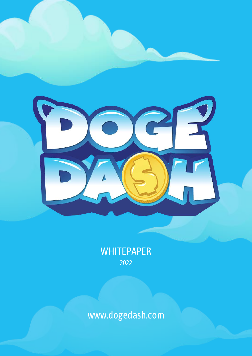

#### WHITEPAPER 2022

#### www.dogedash.com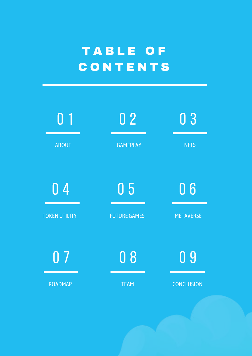#### T A B L E O F C O N T E N T S

| 0 <sub>1</sub>       | 0 <sub>2</sub>      | 03                |
|----------------------|---------------------|-------------------|
| <b>ABOUT</b>         | <b>GAMEPLAY</b>     | <b>NFTS</b>       |
| 0 <sub>4</sub>       | 0 <sub>5</sub>      | 06                |
| <b>TOKEN UTILITY</b> | <b>FUTURE GAMES</b> | <b>METAVERSE</b>  |
| 0 <sub>7</sub>       | 08                  | 09                |
| <b>ROADMAP</b>       | <b>TEAM</b>         | <b>CONCLUSION</b> |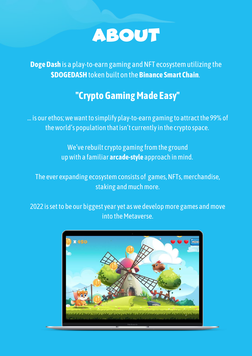

**Doge Dash** is a play-to-earn gaming and NFT ecosystem utilizing the **\$DOGEDASH**token built on the **Binance Smart Chain**.

#### **"CryptoGamingMade Easy"**

... is our ethos; we want to simplify play-to-earn gaming to attract the 99% of the world's population that isn't currently in the crypto space.

> We've rebuilt crypto gaming fromthe ground upwith a familiar **arcade-style** approach inmind.

The ever expanding ecosystem consists of games, NFTs, merchandise, staking and much more.

2022 is set to be our biggest year yet as we develop more games and move into the Metaverse.

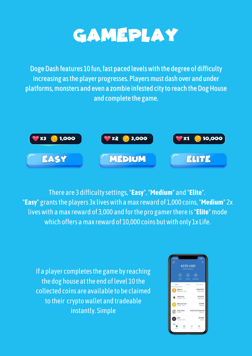### **GAMEPLAY**

Doge Dash features 10 fun, fast paced levels with the degree of difficulty increasing as the player progresses. Players must dash over and under platforms, monsters and even a zombie infested city to reach the Dog House and complete the game.



There are 3 difficultysettings,"**Easy**","**Medium**" and "**Elite**". "**Easy**" grantsthe players 3x liveswith amax reward of 1,000 coins,"**Medium**" 2x liveswith amax reward of 3,000 and forthe pro gamerthere is"**Elite**"mode which offers a max reward of 10,000 coins but with only 1x Life.

If a player completes the game by reaching the dog house at the end of level 10 the collected coins are available to be claimed to their cryptowallet and tradeable instantly. Simple

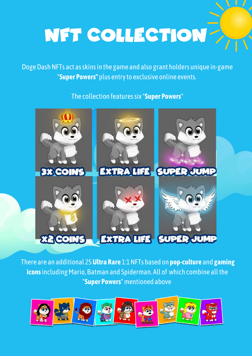# NFT COLLECTION

Doge Dash NFTs act as skins in the game and also grant holders unique in-game "**Super Powers"** plus entryto exclusive online events.

The collection featuressix "**Super Powers**"



There are an additional 25**Ultra Rare** 1:1NFTs based on **pop-culture** and **gaming** icons including Mario, Batman and Spiderman. All of which combine all the "**Super Powers**"mentioned above

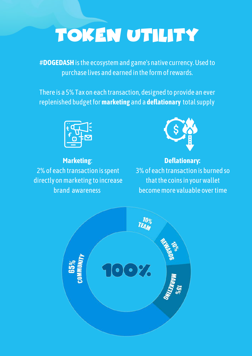# TOKEN UTILITY

#**DOGEDASH**isthe ecosystemand game's native currency.Used to purchase lives and earned in the formofrewards.

There is a 5% Tax on each transaction, designed to provide an ever replenished budgetfor**marketing** and a **deflationary** totalsupply



**Marketing**: 2% of each transaction is spent directly on marketing to increase brand awareness



**Deflationary:** 3%of each transaction is burned so that the coins in your wallet becomemore valuable overtime

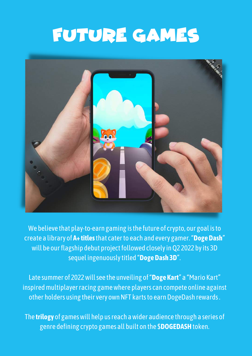## FUTURE GAMES



We believe that play-to-earn gaming isthe future of crypto, our goal isto create a library of **A+ titles**that caterto each and every gamer."**DogeDash**" will be our flagship debut project followed closely in Q2 2022 by its 3D sequel ingenuouslytitled "**DogeDash 3D**".

Late summer of 2022willsee the unveiling of"**Doge Kart**" a "Mario Kart" inspired multiplayer racing game where players can compete online against other holders using their very own NFT karts to earn DogeDash rewards.

The **trilogy** of gameswill help usreach awider audience through a series of genre defining crypto games all built on the \$**DOGEDASH**token.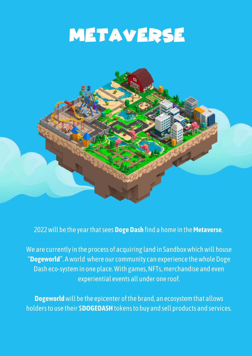## METAVERSE



#### 2022will be the yearthatsees**DogeDash** find a home in the**Metaverse**.

We are currently in the process of acquiring land in Sandbox which will house "Dogeworld". A world where our community can experience the whole Doge Dash eco-system in one place. With games, NFTs, merchandise and even experiential events all under one roof.

**Dogeworld** will be the epicenter of the brand, an ecosystem that allows holders to use their **\$DOGEDASH** tokens to buy and sell products and services.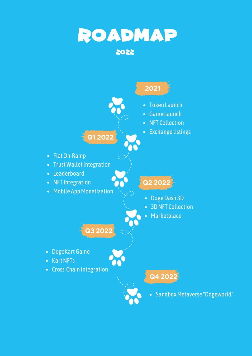

• Sandbox Metaverse "Dogeworld"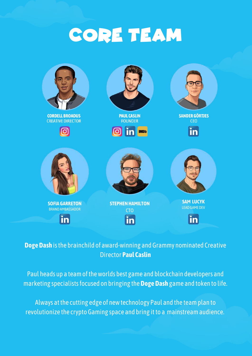## CORE TEAM



#### **Doge Dash** is the brainchild of award-winning and Grammy nominated Creative Director **Paul Caslin**

Paul heads up a team of the worlds best game and blockchain developers and marketing specialistsfocused on bringing the**DogeDash** game and token to life.

Always atthe cutting edge of newtechnology Paul and the teamplan to revolutionize the crypto Gaming space and bring it to a mainstream audience.